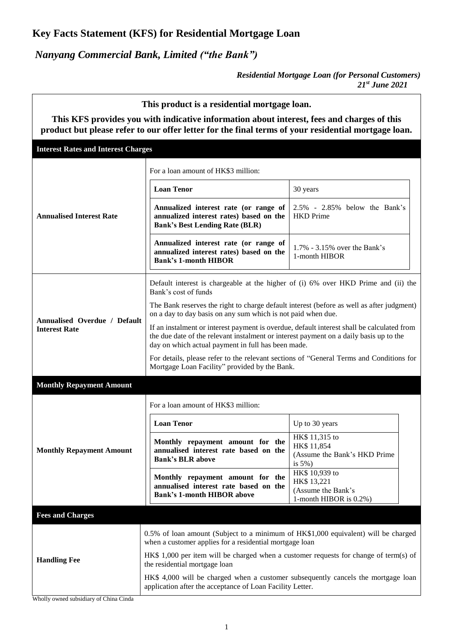## **Key Facts Statement (KFS) for Residential Mortgage Loan**

*Nanyang Commercial Bank, Limited ("the Bank")*

 $\overline{1}$ 

*Residential Mortgage Loan (for Personal Customers) 21 st June 2021*

 $\overline{\phantom{a}}$ 

| This product is a residential mortgage loan.                                                                                                                                                      |                                                                                                                                                                                                                                            |                                                                               |  |  |  |  |
|---------------------------------------------------------------------------------------------------------------------------------------------------------------------------------------------------|--------------------------------------------------------------------------------------------------------------------------------------------------------------------------------------------------------------------------------------------|-------------------------------------------------------------------------------|--|--|--|--|
| This KFS provides you with indicative information about interest, fees and charges of this<br>product but please refer to our offer letter for the final terms of your residential mortgage loan. |                                                                                                                                                                                                                                            |                                                                               |  |  |  |  |
| <b>Interest Rates and Interest Charges</b>                                                                                                                                                        |                                                                                                                                                                                                                                            |                                                                               |  |  |  |  |
| <b>Annualised Interest Rate</b>                                                                                                                                                                   | For a loan amount of HK\$3 million:                                                                                                                                                                                                        |                                                                               |  |  |  |  |
|                                                                                                                                                                                                   | <b>Loan Tenor</b>                                                                                                                                                                                                                          | 30 years                                                                      |  |  |  |  |
|                                                                                                                                                                                                   | Annualized interest rate (or range of<br>annualized interest rates) based on the<br><b>Bank's Best Lending Rate (BLR)</b>                                                                                                                  | $2.5\%$ - $2.85\%$ below the Bank's<br><b>HKD</b> Prime                       |  |  |  |  |
|                                                                                                                                                                                                   | Annualized interest rate (or range of<br>annualized interest rates) based on the<br><b>Bank's 1-month HIBOR</b>                                                                                                                            | 1.7% - 3.15% over the Bank's<br>1-month HIBOR                                 |  |  |  |  |
| Annualised Overdue / Default<br><b>Interest Rate</b>                                                                                                                                              | Default interest is chargeable at the higher of (i) 6% over HKD Prime and (ii) the<br>Bank's cost of funds                                                                                                                                 |                                                                               |  |  |  |  |
|                                                                                                                                                                                                   | The Bank reserves the right to charge default interest (before as well as after judgment)<br>on a day to day basis on any sum which is not paid when due.                                                                                  |                                                                               |  |  |  |  |
|                                                                                                                                                                                                   | If an instalment or interest payment is overdue, default interest shall be calculated from<br>the due date of the relevant instalment or interest payment on a daily basis up to the<br>day on which actual payment in full has been made. |                                                                               |  |  |  |  |
|                                                                                                                                                                                                   | For details, please refer to the relevant sections of "General Terms and Conditions for<br>Mortgage Loan Facility" provided by the Bank.                                                                                                   |                                                                               |  |  |  |  |
| <b>Monthly Repayment Amount</b>                                                                                                                                                                   |                                                                                                                                                                                                                                            |                                                                               |  |  |  |  |
|                                                                                                                                                                                                   | For a loan amount of HK\$3 million:                                                                                                                                                                                                        |                                                                               |  |  |  |  |
|                                                                                                                                                                                                   | <b>Loan Tenor</b>                                                                                                                                                                                                                          | Up to 30 years                                                                |  |  |  |  |
| <b>Monthly Repayment Amount</b>                                                                                                                                                                   | Monthly repayment amount for the<br>annualised interest rate based on the<br><b>Bank's BLR above</b>                                                                                                                                       | HK\$ 11,315 to<br>HK\$ 11,854<br>(Assume the Bank's HKD Prime<br>is $5\%$ )   |  |  |  |  |
|                                                                                                                                                                                                   | Monthly repayment amount for the<br>annualised interest rate based on the<br><b>Bank's 1-month HIBOR above</b>                                                                                                                             | HK\$ 10,939 to<br>HK\$ 13,221<br>(Assume the Bank's<br>1-month HIBOR is 0.2%) |  |  |  |  |
| <b>Fees and Charges</b>                                                                                                                                                                           |                                                                                                                                                                                                                                            |                                                                               |  |  |  |  |
|                                                                                                                                                                                                   | 0.5% of loan amount (Subject to a minimum of HK\$1,000 equivalent) will be charged<br>when a customer applies for a residential mortgage loan                                                                                              |                                                                               |  |  |  |  |
| <b>Handling Fee</b>                                                                                                                                                                               | HK\$ 1,000 per item will be charged when a customer requests for change of term(s) of<br>the residential mortgage loan                                                                                                                     |                                                                               |  |  |  |  |
|                                                                                                                                                                                                   | HK\$ 4,000 will be charged when a customer subsequently cancels the mortgage loan<br>application after the acceptance of Loan Facility Letter.                                                                                             |                                                                               |  |  |  |  |
| Wholly owned subsidiary of China Cinda                                                                                                                                                            |                                                                                                                                                                                                                                            |                                                                               |  |  |  |  |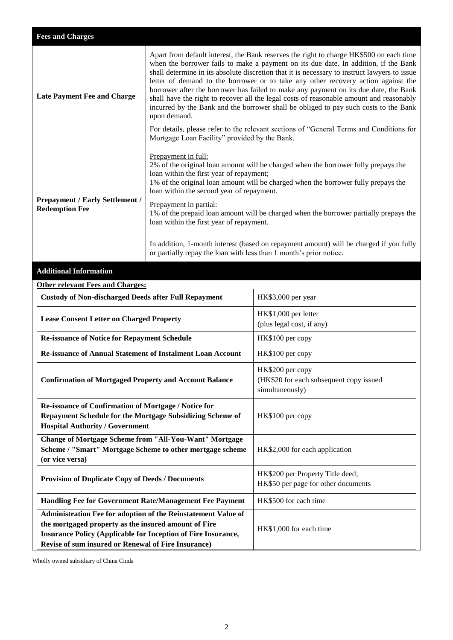| <b>Fees and Charges</b>                                                                                                                                                                                                                       |                                                                                                                                                                                                                                                                                                                                                                                                                                                                                                                                                                                                                                                                                                                                                                                                            |                                                                                |  |
|-----------------------------------------------------------------------------------------------------------------------------------------------------------------------------------------------------------------------------------------------|------------------------------------------------------------------------------------------------------------------------------------------------------------------------------------------------------------------------------------------------------------------------------------------------------------------------------------------------------------------------------------------------------------------------------------------------------------------------------------------------------------------------------------------------------------------------------------------------------------------------------------------------------------------------------------------------------------------------------------------------------------------------------------------------------------|--------------------------------------------------------------------------------|--|
| <b>Late Payment Fee and Charge</b>                                                                                                                                                                                                            | Apart from default interest, the Bank reserves the right to charge HK\$500 on each time<br>when the borrower fails to make a payment on its due date. In addition, if the Bank<br>shall determine in its absolute discretion that it is necessary to instruct lawyers to issue<br>letter of demand to the borrower or to take any other recovery action against the<br>borrower after the borrower has failed to make any payment on its due date, the Bank<br>shall have the right to recover all the legal costs of reasonable amount and reasonably<br>incurred by the Bank and the borrower shall be obliged to pay such costs to the Bank<br>upon demand.<br>For details, please refer to the relevant sections of "General Terms and Conditions for<br>Mortgage Loan Facility" provided by the Bank. |                                                                                |  |
| <b>Prepayment / Early Settlement /</b><br><b>Redemption Fee</b>                                                                                                                                                                               | Prepayment in full:<br>2% of the original loan amount will be charged when the borrower fully prepays the<br>loan within the first year of repayment;<br>1% of the original loan amount will be charged when the borrower fully prepays the<br>loan within the second year of repayment.<br>Prepayment in partial:<br>1% of the prepaid loan amount will be charged when the borrower partially prepays the<br>loan within the first year of repayment.<br>In addition, 1-month interest (based on repayment amount) will be charged if you fully<br>or partially repay the loan with less than 1 month's prior notice.                                                                                                                                                                                    |                                                                                |  |
| <b>Additional Information</b>                                                                                                                                                                                                                 |                                                                                                                                                                                                                                                                                                                                                                                                                                                                                                                                                                                                                                                                                                                                                                                                            |                                                                                |  |
| <b>Other relevant Fees and Charges:</b>                                                                                                                                                                                                       |                                                                                                                                                                                                                                                                                                                                                                                                                                                                                                                                                                                                                                                                                                                                                                                                            |                                                                                |  |
| <b>Custody of Non-discharged Deeds after Full Repayment</b>                                                                                                                                                                                   |                                                                                                                                                                                                                                                                                                                                                                                                                                                                                                                                                                                                                                                                                                                                                                                                            | HK\$3,000 per year                                                             |  |
| <b>Lease Consent Letter on Charged Property</b>                                                                                                                                                                                               |                                                                                                                                                                                                                                                                                                                                                                                                                                                                                                                                                                                                                                                                                                                                                                                                            | HK\$1,000 per letter<br>(plus legal cost, if any)                              |  |
| Re-issuance of Notice for Repayment Schedule                                                                                                                                                                                                  |                                                                                                                                                                                                                                                                                                                                                                                                                                                                                                                                                                                                                                                                                                                                                                                                            | HK\$100 per copy                                                               |  |
| <b>Re-issuance of Annual Statement of Instalment Loan Account</b>                                                                                                                                                                             |                                                                                                                                                                                                                                                                                                                                                                                                                                                                                                                                                                                                                                                                                                                                                                                                            | HK\$100 per copy                                                               |  |
| <b>Confirmation of Mortgaged Property and Account Balance</b>                                                                                                                                                                                 |                                                                                                                                                                                                                                                                                                                                                                                                                                                                                                                                                                                                                                                                                                                                                                                                            | HK\$200 per copy<br>(HK\$20 for each subsequent copy issued<br>simultaneously) |  |
| Re-issuance of Confirmation of Mortgage / Notice for<br>Repayment Schedule for the Mortgage Subsidizing Scheme of<br><b>Hospital Authority / Government</b>                                                                                   |                                                                                                                                                                                                                                                                                                                                                                                                                                                                                                                                                                                                                                                                                                                                                                                                            | HK\$100 per copy                                                               |  |
| <b>Change of Mortgage Scheme from "All-You-Want" Mortgage</b><br>Scheme / "Smart" Mortgage Scheme to other mortgage scheme<br>(or vice versa)                                                                                                 |                                                                                                                                                                                                                                                                                                                                                                                                                                                                                                                                                                                                                                                                                                                                                                                                            | HK\$2,000 for each application                                                 |  |
| <b>Provision of Duplicate Copy of Deeds / Documents</b>                                                                                                                                                                                       |                                                                                                                                                                                                                                                                                                                                                                                                                                                                                                                                                                                                                                                                                                                                                                                                            | HK\$200 per Property Title deed;<br>HK\$50 per page for other documents        |  |
| Handling Fee for Government Rate/Management Fee Payment                                                                                                                                                                                       |                                                                                                                                                                                                                                                                                                                                                                                                                                                                                                                                                                                                                                                                                                                                                                                                            | HK\$500 for each time                                                          |  |
| Administration Fee for adoption of the Reinstatement Value of<br>the mortgaged property as the insured amount of Fire<br>Insurance Policy (Applicable for Inception of Fire Insurance,<br>Revise of sum insured or Renewal of Fire Insurance) |                                                                                                                                                                                                                                                                                                                                                                                                                                                                                                                                                                                                                                                                                                                                                                                                            | HK\$1,000 for each time                                                        |  |

Wholly owned subsidiary of China Cinda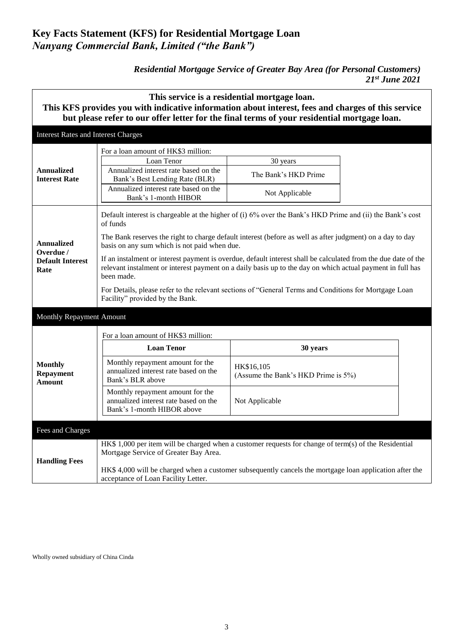## **Key Facts Statement (KFS) for Residential Mortgage Loan**  *Nanyang Commercial Bank, Limited ("the Bank")*

## *Residential Mortgage Service of Greater Bay Area (for Personal Customers) 21 st June 2021*

| This service is a residential mortgage loan.<br>This KFS provides you with indicative information about interest, fees and charges of this service<br>but please refer to our offer letter for the final terms of your residential mortgage loan. |                                                                                                                                                                                                                                                                                                                                                                                                                                                                                                                                                                                                                                                                              |                                                    |  |  |  |
|---------------------------------------------------------------------------------------------------------------------------------------------------------------------------------------------------------------------------------------------------|------------------------------------------------------------------------------------------------------------------------------------------------------------------------------------------------------------------------------------------------------------------------------------------------------------------------------------------------------------------------------------------------------------------------------------------------------------------------------------------------------------------------------------------------------------------------------------------------------------------------------------------------------------------------------|----------------------------------------------------|--|--|--|
| <b>Interest Rates and Interest Charges</b>                                                                                                                                                                                                        |                                                                                                                                                                                                                                                                                                                                                                                                                                                                                                                                                                                                                                                                              |                                                    |  |  |  |
| <b>Annualized</b><br><b>Interest Rate</b>                                                                                                                                                                                                         | For a loan amount of HK\$3 million:<br>Loan Tenor<br>Annualized interest rate based on the<br>Bank's Best Lending Rate (BLR)<br>Annualized interest rate based on the<br>Bank's 1-month HIBOR                                                                                                                                                                                                                                                                                                                                                                                                                                                                                | 30 years<br>The Bank's HKD Prime<br>Not Applicable |  |  |  |
| <b>Annualized</b><br>Overdue /<br><b>Default Interest</b><br>Rate                                                                                                                                                                                 | Default interest is chargeable at the higher of (i) 6% over the Bank's HKD Prime and (ii) the Bank's cost<br>of funds<br>The Bank reserves the right to charge default interest (before as well as after judgment) on a day to day<br>basis on any sum which is not paid when due.<br>If an instalment or interest payment is overdue, default interest shall be calculated from the due date of the<br>relevant instalment or interest payment on a daily basis up to the day on which actual payment in full has<br>been made.<br>For Details, please refer to the relevant sections of "General Terms and Conditions for Mortgage Loan<br>Facility" provided by the Bank. |                                                    |  |  |  |
| Monthly Repayment Amount                                                                                                                                                                                                                          |                                                                                                                                                                                                                                                                                                                                                                                                                                                                                                                                                                                                                                                                              |                                                    |  |  |  |
| <b>Monthly</b><br><b>Repayment</b><br><b>Amount</b>                                                                                                                                                                                               | For a loan amount of HK\$3 million:<br><b>Loan Tenor</b><br>30 years                                                                                                                                                                                                                                                                                                                                                                                                                                                                                                                                                                                                         |                                                    |  |  |  |
|                                                                                                                                                                                                                                                   | Monthly repayment amount for the<br>annualized interest rate based on the<br>Bank's BLR above                                                                                                                                                                                                                                                                                                                                                                                                                                                                                                                                                                                | HK\$16,105<br>(Assume the Bank's HKD Prime is 5%)  |  |  |  |
|                                                                                                                                                                                                                                                   | Monthly repayment amount for the<br>annualized interest rate based on the<br>Bank's 1-month HIBOR above                                                                                                                                                                                                                                                                                                                                                                                                                                                                                                                                                                      | Not Applicable                                     |  |  |  |
| Fees and Charges                                                                                                                                                                                                                                  |                                                                                                                                                                                                                                                                                                                                                                                                                                                                                                                                                                                                                                                                              |                                                    |  |  |  |
| <b>Handling Fees</b>                                                                                                                                                                                                                              | HK\$ 1,000 per item will be charged when a customer requests for change of term(s) of the Residential<br>Mortgage Service of Greater Bay Area.<br>HK\$ 4,000 will be charged when a customer subsequently cancels the mortgage loan application after the                                                                                                                                                                                                                                                                                                                                                                                                                    |                                                    |  |  |  |
| acceptance of Loan Facility Letter.                                                                                                                                                                                                               |                                                                                                                                                                                                                                                                                                                                                                                                                                                                                                                                                                                                                                                                              |                                                    |  |  |  |